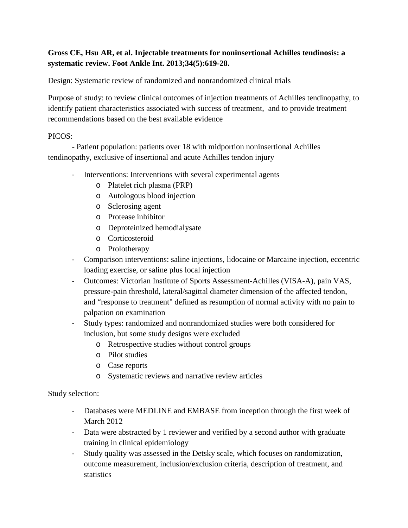# **Gross CE, Hsu AR, et al. Injectable treatments for noninsertional Achilles tendinosis: a systematic review. Foot Ankle Int. 2013;34(5):619-28.**

Design: Systematic review of randomized and nonrandomized clinical trials

Purpose of study: to review clinical outcomes of injection treatments of Achilles tendinopathy, to identify patient characteristics associated with success of treatment, and to provide treatment recommendations based on the best available evidence

### PICOS:

- Patient population: patients over 18 with midportion noninsertional Achilles tendinopathy, exclusive of insertional and acute Achilles tendon injury

- Interventions: Interventions with several experimental agents
	- o Platelet rich plasma (PRP)
	- o Autologous blood injection
	- o Sclerosing agent
	- o Protease inhibitor
	- o Deproteinized hemodialysate
	- o Corticosteroid
	- o Prolotherapy
- Comparison interventions: saline injections, lidocaine or Marcaine injection, eccentric loading exercise, or saline plus local injection
- Outcomes: Victorian Institute of Sports Assessment-Achilles (VISA-A), pain VAS, pressure-pain threshold, lateral/sagittal diameter dimension of the affected tendon, and "response to treatment" defined as resumption of normal activity with no pain to palpation on examination
- Study types: randomized and nonrandomized studies were both considered for inclusion, but some study designs were excluded
	- o Retrospective studies without control groups
	- o Pilot studies
	- o Case reports
	- o Systematic reviews and narrative review articles

Study selection:

- Databases were MEDLINE and EMBASE from inception through the first week of March 2012
- Data were abstracted by 1 reviewer and verified by a second author with graduate training in clinical epidemiology
- Study quality was assessed in the Detsky scale, which focuses on randomization, outcome measurement, inclusion/exclusion criteria, description of treatment, and statistics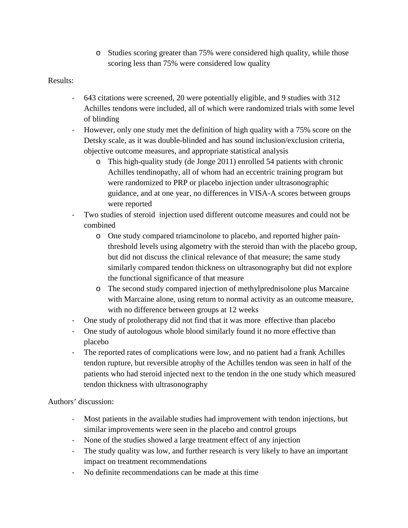o Studies scoring greater than 75% were considered high quality, while those scoring less than 75% were considered low quality

# Results:

- 643 citations were screened, 20 were potentially eligible, and 9 studies with 312 Achilles tendons were included, all of which were randomized trials with some level of blinding
- However, only one study met the definition of high quality with a 75% score on the Detsky scale, as it was double-blinded and has sound inclusion/exclusion criteria, objective outcome measures, and appropriate statistical analysis
	- o This high-quality study (de Jonge 2011) enrolled 54 patients with chronic Achilles tendinopathy, all of whom had an eccentric training program but were randomized to PRP or placebo injection under ultrasonographic guidance, and at one year, no differences in VISA-A scores between groups were reported
- Two studies of steroid injection used different outcome measures and could not be combined
	- o One study compared triamcinolone to placebo, and reported higher painthreshold levels using algometry with the steroid than with the placebo group, but did not discuss the clinical relevance of that measure; the same study similarly compared tendon thickness on ultrasonography but did not explore the functional significance of that measure
	- o The second study compared injection of methylprednisolone plus Marcaine with Marcaine alone, using return to normal activity as an outcome measure, with no difference between groups at 12 weeks
- One study of prolotherapy did not find that it was more effective than placebo
- One study of autologous whole blood similarly found it no more effective than placebo
- The reported rates of complications were low, and no patient had a frank Achilles tendon rupture, but reversible atrophy of the Achilles tendon was seen in half of the patients who had steroid injected next to the tendon in the one study which measured tendon thickness with ultrasonography

Authors' discussion:

- Most patients in the available studies had improvement with tendon injections, but similar improvements were seen in the placebo and control groups
- None of the studies showed a large treatment effect of any injection
- The study quality was low, and further research is very likely to have an important impact on treatment recommendations
- No definite recommendations can be made at this time